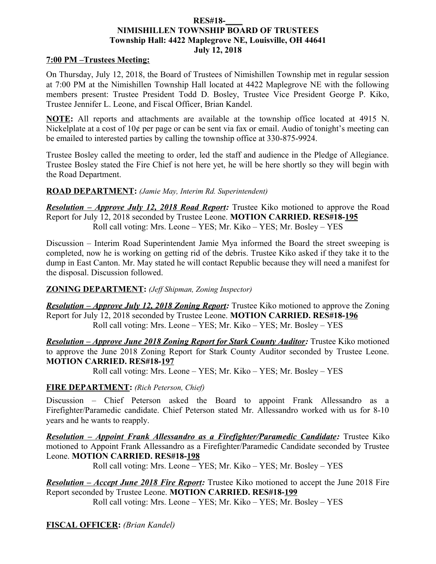### **RES#18-\_\_\_\_ NIMISHILLEN TOWNSHIP BOARD OF TRUSTEES Township Hall: 4422 Maplegrove NE, Louisville, OH 44641 July 12, 2018**

## **7:00 PM –Trustees Meeting:**

On Thursday, July 12, 2018, the Board of Trustees of Nimishillen Township met in regular session at 7:00 PM at the Nimishillen Township Hall located at 4422 Maplegrove NE with the following members present: Trustee President Todd D. Bosley, Trustee Vice President George P. Kiko, Trustee Jennifer L. Leone, and Fiscal Officer, Brian Kandel.

**NOTE:** All reports and attachments are available at the township office located at 4915 N. Nickelplate at a cost of 10¢ per page or can be sent via fax or email. Audio of tonight's meeting can be emailed to interested parties by calling the township office at 330-875-9924.

Trustee Bosley called the meeting to order, led the staff and audience in the Pledge of Allegiance. Trustee Bosley stated the Fire Chief is not here yet, he will be here shortly so they will begin with the Road Department.

## **ROAD DEPARTMENT:** *(Jamie May, Interim Rd. Superintendent)*

*Resolution – Approve July 12, 2018 Road Report:* Trustee Kiko motioned to approve the Road Report for July 12, 2018 seconded by Trustee Leone. **MOTION CARRIED. RES#18-195** Roll call voting: Mrs. Leone – YES; Mr. Kiko – YES; Mr. Bosley – YES

Discussion – Interim Road Superintendent Jamie Mya informed the Board the street sweeping is completed, now he is working on getting rid of the debris. Trustee Kiko asked if they take it to the dump in East Canton. Mr. May stated he will contact Republic because they will need a manifest for the disposal. Discussion followed.

## **ZONING DEPARTMENT:** *(Jeff Shipman, Zoning Inspector)*

*Resolution – Approve July 12, 2018 Zoning Report:* Trustee Kiko motioned to approve the Zoning Report for July 12, 2018 seconded by Trustee Leone. **MOTION CARRIED. RES#18-196** Roll call voting: Mrs. Leone – YES; Mr. Kiko – YES; Mr. Bosley – YES

*Resolution – Approve June 2018 Zoning Report for Stark County Auditor:* Trustee Kiko motioned to approve the June 2018 Zoning Report for Stark County Auditor seconded by Trustee Leone. **MOTION CARRIED. RES#18-197**

Roll call voting: Mrs. Leone – YES; Mr. Kiko – YES; Mr. Bosley – YES

## **FIRE DEPARTMENT:** *(Rich Peterson, Chief)*

Discussion – Chief Peterson asked the Board to appoint Frank Allessandro as a Firefighter/Paramedic candidate. Chief Peterson stated Mr. Allessandro worked with us for 8-10 years and he wants to reapply.

*Resolution – Appoint Frank Allessandro as a Firefighter/Paramedic Candidate:* Trustee Kiko motioned to Appoint Frank Allessandro as a Firefighter/Paramedic Candidate seconded by Trustee Leone. **MOTION CARRIED. RES#18-198**

Roll call voting: Mrs. Leone – YES; Mr. Kiko – YES; Mr. Bosley – YES

*Resolution – Accept June 2018 Fire Report:* Trustee Kiko motioned to accept the June 2018 Fire Report seconded by Trustee Leone. **MOTION CARRIED. RES#18-199**

Roll call voting: Mrs. Leone – YES; Mr. Kiko – YES; Mr. Bosley – YES

**FISCAL OFFICER:** *(Brian Kandel)*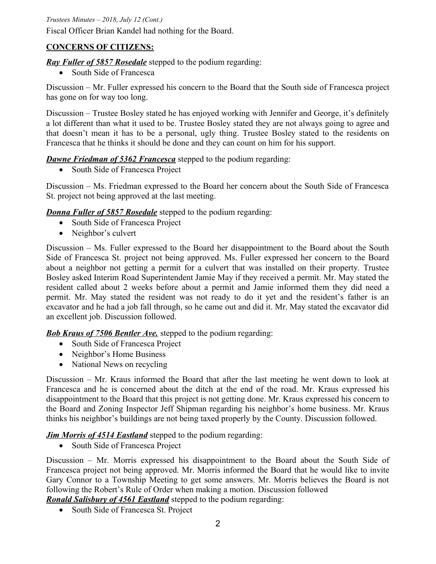*Trustees Minutes – 2018, July 12 (Cont.)*

Fiscal Officer Brian Kandel had nothing for the Board.

# **CONCERNS OF CITIZENS:**

*Ray Fuller of 5857 Rosedale* stepped to the podium regarding:

• South Side of Francesca

Discussion – Mr. Fuller expressed his concern to the Board that the South side of Francesca project has gone on for way too long.

Discussion – Trustee Bosley stated he has enjoyed working with Jennifer and George, it's definitely a lot different than what it used to be. Trustee Bosley stated they are not always going to agree and that doesn't mean it has to be a personal, ugly thing. Trustee Bosley stated to the residents on Francesca that he thinks it should be done and they can count on him for his support.

*Dawne Friedman of 5362 Francesca* stepped to the podium regarding:

• South Side of Francesca Project

Discussion – Ms. Friedman expressed to the Board her concern about the South Side of Francesca St. project not being approved at the last meeting.

*Donna Fuller of 5857 Rosedale* stepped to the podium regarding:

- South Side of Francesca Project
- Neighbor's culvert

Discussion – Ms. Fuller expressed to the Board her disappointment to the Board about the South Side of Francesca St. project not being approved. Ms. Fuller expressed her concern to the Board about a neighbor not getting a permit for a culvert that was installed on their property. Trustee Bosley asked Interim Road Superintendent Jamie May if they received a permit. Mr. May stated the resident called about 2 weeks before about a permit and Jamie informed them they did need a permit. Mr. May stated the resident was not ready to do it yet and the resident's father is an excavator and he had a job fall through, so he came out and did it. Mr. May stated the excavator did an excellent job. Discussion followed.

*Bob Kraus of 7506 Bentler Ave.* stepped to the podium regarding:

- South Side of Francesca Project
- Neighbor's Home Business
- National News on recycling

Discussion – Mr. Kraus informed the Board that after the last meeting he went down to look at Francesca and he is concerned about the ditch at the end of the road. Mr. Kraus expressed his disappointment to the Board that this project is not getting done. Mr. Kraus expressed his concern to the Board and Zoning Inspector Jeff Shipman regarding his neighbor's home business. Mr. Kraus thinks his neighbor's buildings are not being taxed properly by the County. Discussion followed.

*Jim Morris of 4514 Eastland* stepped to the podium regarding:

• South Side of Francesca Project

Discussion – Mr. Morris expressed his disappointment to the Board about the South Side of Francesca project not being approved. Mr. Morris informed the Board that he would like to invite Gary Connor to a Township Meeting to get some answers. Mr. Morris believes the Board is not following the Robert's Rule of Order when making a motion. Discussion followed

*Ronald Salisbury of 4561 Eastland* stepped to the podium regarding:

• South Side of Francesca St. Project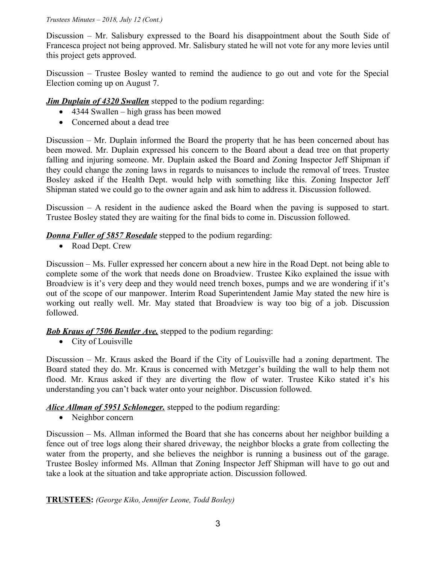#### *Trustees Minutes – 2018, July 12 (Cont.)*

Discussion – Mr. Salisbury expressed to the Board his disappointment about the South Side of Francesca project not being approved. Mr. Salisbury stated he will not vote for any more levies until this project gets approved.

Discussion – Trustee Bosley wanted to remind the audience to go out and vote for the Special Election coming up on August 7.

*Jim Duplain of 4320 Swallen* stepped to the podium regarding:

- 4344 Swallen high grass has been mowed
- Concerned about a dead tree

Discussion – Mr. Duplain informed the Board the property that he has been concerned about has been mowed. Mr. Duplain expressed his concern to the Board about a dead tree on that property falling and injuring someone. Mr. Duplain asked the Board and Zoning Inspector Jeff Shipman if they could change the zoning laws in regards to nuisances to include the removal of trees. Trustee Bosley asked if the Health Dept. would help with something like this. Zoning Inspector Jeff Shipman stated we could go to the owner again and ask him to address it. Discussion followed.

Discussion – A resident in the audience asked the Board when the paving is supposed to start. Trustee Bosley stated they are waiting for the final bids to come in. Discussion followed.

*Donna Fuller of 5857 Rosedale* stepped to the podium regarding:

• Road Dept. Crew

Discussion – Ms. Fuller expressed her concern about a new hire in the Road Dept. not being able to complete some of the work that needs done on Broadview. Trustee Kiko explained the issue with Broadview is it's very deep and they would need trench boxes, pumps and we are wondering if it's out of the scope of our manpower. Interim Road Superintendent Jamie May stated the new hire is working out really well. Mr. May stated that Broadview is way too big of a job. Discussion followed.

*Bob Kraus of 7506 Bentler Ave.* stepped to the podium regarding:

• City of Louisville

Discussion – Mr. Kraus asked the Board if the City of Louisville had a zoning department. The Board stated they do. Mr. Kraus is concerned with Metzger's building the wall to help them not flood. Mr. Kraus asked if they are diverting the flow of water. Trustee Kiko stated it's his understanding you can't back water onto your neighbor. Discussion followed.

*Alice Allman of 5951 Schloneger.* stepped to the podium regarding:

• Neighbor concern

Discussion – Ms. Allman informed the Board that she has concerns about her neighbor building a fence out of tree logs along their shared driveway, the neighbor blocks a grate from collecting the water from the property, and she believes the neighbor is running a business out of the garage. Trustee Bosley informed Ms. Allman that Zoning Inspector Jeff Shipman will have to go out and take a look at the situation and take appropriate action. Discussion followed.

**TRUSTEES:** *(George Kiko, Jennifer Leone, Todd Bosley)*